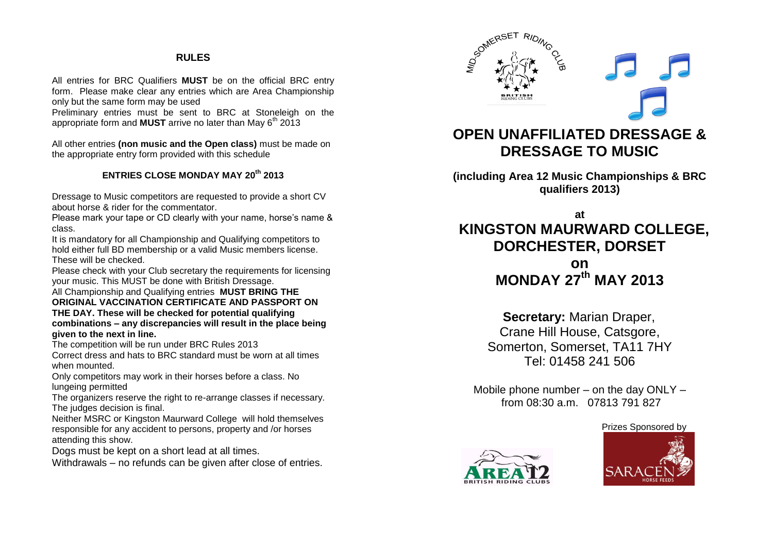#### **RULES**

All entries for BRC Qualifiers **MUST** be on the official BRC entry form. Please make clear any entries which are Area Championship only but the same form may be used

Preliminary entries must be sent to BRC at Stoneleigh on the appropriate form and **MUST** arrive no later than May 6<sup>th</sup> 2013

All other entries **(non music and the Open class)** must be made on the appropriate entry form provided with this schedule

### **ENTRIES CLOSE MONDAY MAY 20th 2013**

Dressage to Music competitors are requested to provide a short CV about horse & rider for the commentator.

Please mark your tape or CD clearly with your name, horse's name & class.

It is mandatory for all Championship and Qualifying competitors to hold either full BD membership or a valid Music members license. These will be checked.

Please check with your Club secretary the requirements for licensing your music. This MUST be done with British Dressage.

All Championship and Qualifying entries **MUST BRING THE ORIGINAL VACCINATION CERTIFICATE AND PASSPORT ON THE DAY. These will be checked for potential qualifying combinations – any discrepancies will result in the place being given to the next in line.**

The competition will be run under BRC Rules 2013

Correct dress and hats to BRC standard must be worn at all times when mounted.

Only competitors may work in their horses before a class. No lungeing permitted

The organizers reserve the right to re-arrange classes if necessary. The judges decision is final.

Neither MSRC or Kingston Maurward College will hold themselves responsible for any accident to persons, property and /or horses attending this show.

Dogs must be kept on a short lead at all times.

Withdrawals – no refunds can be given after close of entries.



# **OPEN UNAFFILIATED DRESSAGE & DRESSAGE TO MUSIC**

**(including Area 12 Music Championships & BRC qualifiers 2013)**

**at KINGSTON MAURWARD COLLEGE, DORCHESTER, DORSET on MONDAY 27 th MAY 2013**

> **Secretary:** Marian Draper, Crane Hill House, Catsgore, Somerton, Somerset, TA11 7HY Tel: 01458 241 506

Mobile phone number – on the day ONLY – from 08:30 a.m. 07813 791 827